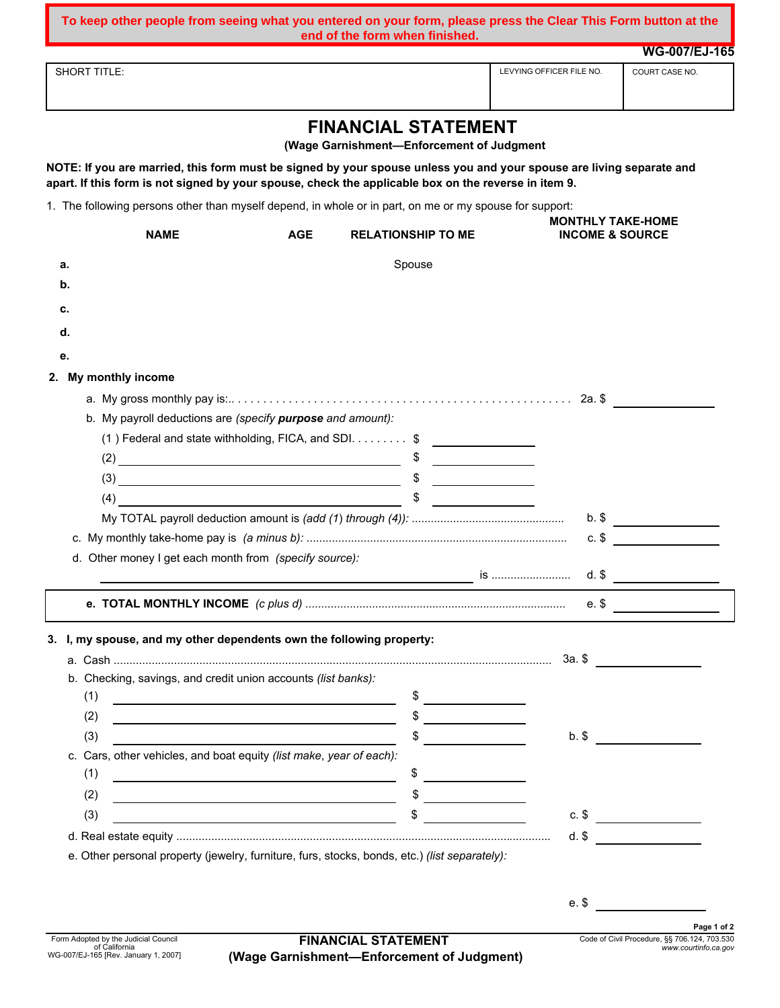**To keep other people from seeing what you entered on your form, please press the Clear This Form button at the** 

|                                                                                                         | end of the form when finished.                                                                                                                                                                                               |                                                                                                                                                                                                                                                                                                                                                                                                                      |                           |
|---------------------------------------------------------------------------------------------------------|------------------------------------------------------------------------------------------------------------------------------------------------------------------------------------------------------------------------------|----------------------------------------------------------------------------------------------------------------------------------------------------------------------------------------------------------------------------------------------------------------------------------------------------------------------------------------------------------------------------------------------------------------------|---------------------------|
|                                                                                                         |                                                                                                                                                                                                                              |                                                                                                                                                                                                                                                                                                                                                                                                                      | <b>WG-007/EJ-165</b>      |
| <b>SHORT TITLE:</b>                                                                                     |                                                                                                                                                                                                                              | LEVYING OFFICER FILE NO.                                                                                                                                                                                                                                                                                                                                                                                             | COURT CASE NO.            |
|                                                                                                         |                                                                                                                                                                                                                              |                                                                                                                                                                                                                                                                                                                                                                                                                      |                           |
|                                                                                                         | <b>FINANCIAL STATEMENT</b><br>(Wage Garnishment-Enforcement of Judgment                                                                                                                                                      |                                                                                                                                                                                                                                                                                                                                                                                                                      |                           |
|                                                                                                         | NOTE: If you are married, this form must be signed by your spouse unless you and your spouse are living separate and<br>apart. If this form is not signed by your spouse, check the applicable box on the reverse in item 9. |                                                                                                                                                                                                                                                                                                                                                                                                                      |                           |
| 1. The following persons other than myself depend, in whole or in part, on me or my spouse for support: |                                                                                                                                                                                                                              |                                                                                                                                                                                                                                                                                                                                                                                                                      |                           |
| <b>NAME</b>                                                                                             | <b>AGE</b><br><b>RELATIONSHIP TO ME</b>                                                                                                                                                                                      | <b>MONTHLY TAKE-HOME</b><br><b>INCOME &amp; SOURCE</b>                                                                                                                                                                                                                                                                                                                                                               |                           |
| а.                                                                                                      | Spouse                                                                                                                                                                                                                       |                                                                                                                                                                                                                                                                                                                                                                                                                      |                           |
| b.                                                                                                      |                                                                                                                                                                                                                              |                                                                                                                                                                                                                                                                                                                                                                                                                      |                           |
| c.                                                                                                      |                                                                                                                                                                                                                              |                                                                                                                                                                                                                                                                                                                                                                                                                      |                           |
| d.                                                                                                      |                                                                                                                                                                                                                              |                                                                                                                                                                                                                                                                                                                                                                                                                      |                           |
|                                                                                                         |                                                                                                                                                                                                                              |                                                                                                                                                                                                                                                                                                                                                                                                                      |                           |
| е.                                                                                                      |                                                                                                                                                                                                                              |                                                                                                                                                                                                                                                                                                                                                                                                                      |                           |
| 2. My monthly income                                                                                    |                                                                                                                                                                                                                              |                                                                                                                                                                                                                                                                                                                                                                                                                      |                           |
|                                                                                                         |                                                                                                                                                                                                                              |                                                                                                                                                                                                                                                                                                                                                                                                                      |                           |
| b. My payroll deductions are (specify purpose and amount):                                              |                                                                                                                                                                                                                              |                                                                                                                                                                                                                                                                                                                                                                                                                      |                           |
|                                                                                                         | (1) Federal and state withholding, FICA, and SDI. \$                                                                                                                                                                         |                                                                                                                                                                                                                                                                                                                                                                                                                      |                           |
|                                                                                                         |                                                                                                                                                                                                                              |                                                                                                                                                                                                                                                                                                                                                                                                                      |                           |
|                                                                                                         | $(3)$ \$                                                                                                                                                                                                                     |                                                                                                                                                                                                                                                                                                                                                                                                                      |                           |
| $(4) \qquad \qquad \overbrace{\qquad \qquad }$                                                          |                                                                                                                                                                                                                              |                                                                                                                                                                                                                                                                                                                                                                                                                      |                           |
|                                                                                                         |                                                                                                                                                                                                                              |                                                                                                                                                                                                                                                                                                                                                                                                                      |                           |
|                                                                                                         |                                                                                                                                                                                                                              |                                                                                                                                                                                                                                                                                                                                                                                                                      | $c.$ \$                   |
| d. Other money I get each month from (specify source):                                                  |                                                                                                                                                                                                                              |                                                                                                                                                                                                                                                                                                                                                                                                                      |                           |
|                                                                                                         |                                                                                                                                                                                                                              |                                                                                                                                                                                                                                                                                                                                                                                                                      |                           |
|                                                                                                         |                                                                                                                                                                                                                              | e. \$                                                                                                                                                                                                                                                                                                                                                                                                                |                           |
|                                                                                                         |                                                                                                                                                                                                                              |                                                                                                                                                                                                                                                                                                                                                                                                                      |                           |
| 3. I, my spouse, and my other dependents own the following property:                                    |                                                                                                                                                                                                                              |                                                                                                                                                                                                                                                                                                                                                                                                                      |                           |
|                                                                                                         |                                                                                                                                                                                                                              |                                                                                                                                                                                                                                                                                                                                                                                                                      |                           |
| b. Checking, savings, and credit union accounts (list banks):                                           |                                                                                                                                                                                                                              |                                                                                                                                                                                                                                                                                                                                                                                                                      |                           |
| (1)                                                                                                     |                                                                                                                                                                                                                              | $\frac{1}{\sqrt{1-\frac{1}{2}}\sqrt{1-\frac{1}{2}}\sqrt{1-\frac{1}{2}}\sqrt{1-\frac{1}{2}}\sqrt{1-\frac{1}{2}}\sqrt{1-\frac{1}{2}}\sqrt{1-\frac{1}{2}}\sqrt{1-\frac{1}{2}}\sqrt{1-\frac{1}{2}}\sqrt{1-\frac{1}{2}}\sqrt{1-\frac{1}{2}}\sqrt{1-\frac{1}{2}}\sqrt{1-\frac{1}{2}}\sqrt{1-\frac{1}{2}}\sqrt{1-\frac{1}{2}}\sqrt{1-\frac{1}{2}}\sqrt{1-\frac{1}{2}}\sqrt{1-\frac{1}{2}}\sqrt{1-\frac{1}{2}}\sqrt{1-\frac$ |                           |
| (2)                                                                                                     | <u> 1989 - Johann Barbara, martxa amerikan personal (h. 1989).</u>                                                                                                                                                           | $\begin{array}{c} \updownarrow \\ \downarrow \end{array}$                                                                                                                                                                                                                                                                                                                                                            |                           |
| (3)                                                                                                     |                                                                                                                                                                                                                              | $b.$ \$                                                                                                                                                                                                                                                                                                                                                                                                              |                           |
| c. Cars, other vehicles, and boat equity (list make, year of each):                                     |                                                                                                                                                                                                                              |                                                                                                                                                                                                                                                                                                                                                                                                                      |                           |
| (1)<br><u> 1980 - Johann Barbara, martxa alemaniar arg</u>                                              | \$                                                                                                                                                                                                                           | <u> Liston de la construcción de la construcción de la construcción de la construcción de la construcción de la c</u>                                                                                                                                                                                                                                                                                                |                           |
| (2)                                                                                                     | <u> 1989 - Johann Barn, mars ann an t-Amhain Aonaich an t-Aonaich an t-Aonaich ann an t-Aonaich ann an t-Aonaich</u>                                                                                                         |                                                                                                                                                                                                                                                                                                                                                                                                                      |                           |
| (3)                                                                                                     | \$<br><u> 1989 - Johann Barbara, martin amerikan basar dan berasal dan berasal dalam basar dalam basar dalam basar dala</u>                                                                                                  | $c.$ \$                                                                                                                                                                                                                                                                                                                                                                                                              | <u> Albanya (Albanya)</u> |
|                                                                                                         |                                                                                                                                                                                                                              | d.                                                                                                                                                                                                                                                                                                                                                                                                                   |                           |

Form Adopted by the Judicial Council of California WG-007/EJ-165 [Rev. January 1, 2007]

e. \$